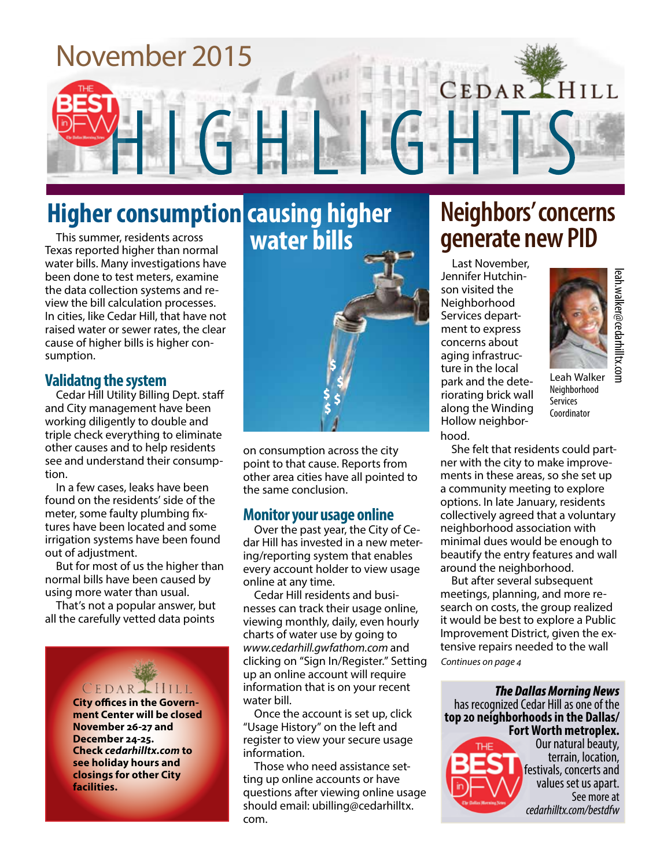# November 2015 **CEDAR HILL**

# **Higher consumption causing higher**

This summer, residents across Texas reported higher than normal water bills. Many investigations have been done to test meters, examine the data collection systems and review the bill calculation processes. In cities, like Cedar Hill, that have not raised water or sewer rates, the clear cause of higher bills is higher consumption.

#### **Validatng the system**

Cedar Hill Utility Billing Dept. staff and City management have been working diligently to double and triple check everything to eliminate other causes and to help residents see and understand their consumption.

In a few cases, leaks have been found on the residents' side of the meter, some faulty plumbing fixtures have been located and some irrigation systems have been found out of adjustment.

But for most of us the higher than normal bills have been caused by using more water than usual.

That's not a popular answer, but all the carefully vetted data points



**ment Center will be closed November 26-27 and December 24-25. Check** *cedarhilltx.com* **to see holiday hours and closings for other City facilities.**



on consumption across the city point to that cause. Reports from other area cities have all pointed to the same conclusion.

#### **Monitor your usage online**

Over the past year, the City of Cedar Hill has invested in a new metering/reporting system that enables every account holder to view usage online at any time.

Cedar Hill residents and businesses can track their usage online, viewing monthly, daily, even hourly charts of water use by going to *www.cedarhill.gwfathom.com* and clicking on "Sign In/Register." Setting up an online account will require information that is on your recent water bill.

Once the account is set up, click "Usage History" on the left and register to view your secure usage information.

Those who need assistance setting up online accounts or have questions after viewing online usage should email: ubilling@cedarhilltx. com.

## **Neighbors' concerns generate new PID**

Last November, Jennifer Hutchinson visited the Neighborhood Services department to express concerns about aging infrastructure in the local park and the deteriorating brick wall along the Winding Hollow neighborhood.



Leah Walker Neighborhood Services Coordinator

**cent Controllery**<br> **cent Controllery**<br> **cent Controllery**<br> **cervices**<br> **coordinator**<br> **coordinator**<br> **coordinator**<br> **coordinator**<br> **coordinator**<br> **coordinator**<br> **coordinator**<br> **coordinator**<br> **coordinator**<br> **coordinator**<br> She felt that residents could partner with the city to make improvements in these areas, so she set up a community meeting to explore options. In late January, residents collectively agreed that a voluntary neighborhood association with minimal dues would be enough to beautify the entry features and wall around the neighborhood.

*Continues on page 4* But after several subsequent meetings, planning, and more research on costs, the group realized it would be best to explore a Public Improvement District, given the extensive repairs needed to the wall

*The Dallas Morning News*  has recognized Cedar Hill as one of the **top 20 neighborhoods in the Dallas/ Fort Worth metroplex.** 



Our natural beauty, terrain, location, festivals, concerts and values set us apart. See more at cedarhilltx.com/bestdfw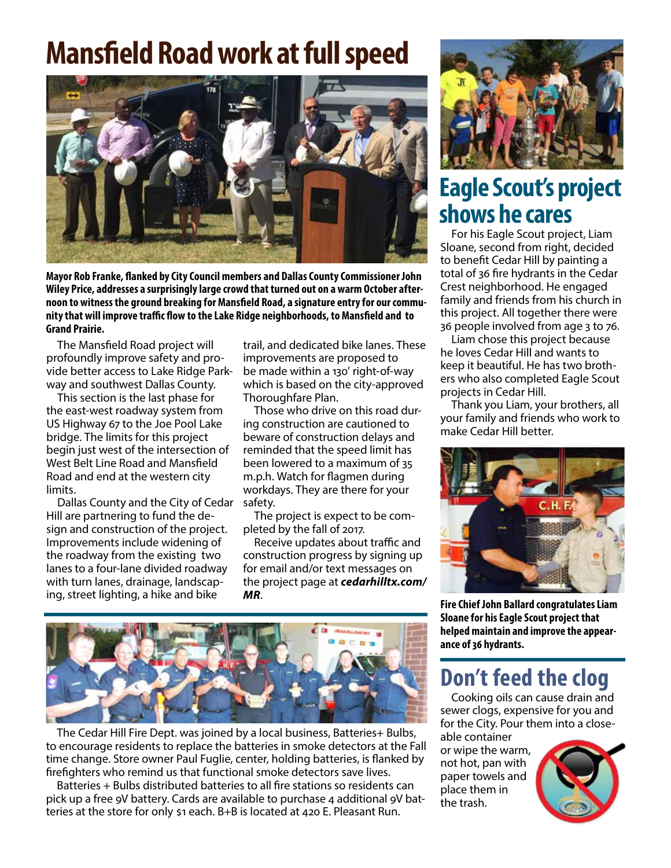# **Mansfield Road work at full speed**



**Mayor Rob Franke, flanked by City Council members and Dallas County Commissioner John Wiley Price, addresses a surprisingly large crowd that turned out on a warm October afternoon to witness the ground breaking for Mansfield Road, a signature entry for our community that will improve traffic flow to the Lake Ridge neighborhoods, to Mansfield and to Grand Prairie.**

The Mansfield Road project will profoundly improve safety and provide better access to Lake Ridge Parkway and southwest Dallas County.

This section is the last phase for the east-west roadway system from US Highway 67 to the Joe Pool Lake bridge. The limits for this project begin just west of the intersection of West Belt Line Road and Mansfield Road and end at the western city limits.

Dallas County and the City of Cedar Hill are partnering to fund the design and construction of the project. Improvements include widening of the roadway from the existing two lanes to a four-lane divided roadway with turn lanes, drainage, landscaping, street lighting, a hike and bike

trail, and dedicated bike lanes. These improvements are proposed to be made within a 130' right-of-way which is based on the city-approved Thoroughfare Plan.

Those who drive on this road during construction are cautioned to beware of construction delays and reminded that the speed limit has been lowered to a maximum of 35 m.p.h. Watch for flagmen during workdays. They are there for your safety.

The project is expect to be completed by the fall of 2017.

Receive updates about traffic and construction progress by signing up for email and/or text messages on the project page at *cedarhilltx.com/ MR*.



The Cedar Hill Fire Dept. was joined by a local business, Batteries+ Bulbs, to encourage residents to replace the batteries in smoke detectors at the Fall time change. Store owner Paul Fuglie, center, holding batteries, is flanked by firefighters who remind us that functional smoke detectors save lives.

Batteries + Bulbs distributed batteries to all fire stations so residents can pick up a free 9V battery. Cards are available to purchase 4 additional 9V batteries at the store for only \$1 each. B+B is located at 420 E. Pleasant Run.



## **Eagle Scout's project shows he cares**

For his Eagle Scout project, Liam Sloane, second from right, decided to benefit Cedar Hill by painting a total of 36 fire hydrants in the Cedar Crest neighborhood. He engaged family and friends from his church in this project. All together there were 36 people involved from age 3 to 76.

Liam chose this project because he loves Cedar Hill and wants to keep it beautiful. He has two brothers who also completed Eagle Scout projects in Cedar Hill.

Thank you Liam, your brothers, all your family and friends who work to make Cedar Hill better.



**Fire Chief John Ballard congratulates Liam Sloane for his Eagle Scout project that helped maintain and improve the appearance of 36 hydrants.**

## **Don't feed the clog**

Cooking oils can cause drain and sewer clogs, expensive for you and for the City. Pour them into a close-

able container or wipe the warm, not hot, pan with paper towels and place them in the trash.

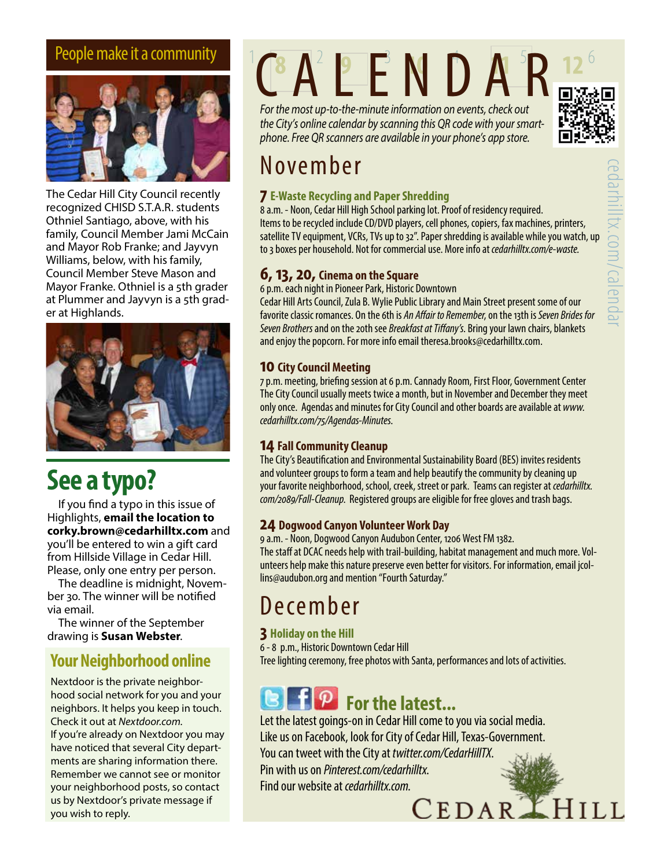

The Cedar Hill City Council recently recognized CHISD S.T.A.R. students Othniel Santiago, above, with his family, Council Member Jami McCain and Mayor Rob Franke; and Jayvyn Williams, below, with his family, Council Member Steve Mason and Mayor Franke. Othniel is a 5th grader at Plummer and Jayvyn is a 5th grader at Highlands.



# **See a typo?**

If you find a typo in this issue of Highlights, **email the location to corky.brown@cedarhilltx.com** and you'll be entered to win a gift card from Hillside Village in Cedar Hill. Please, only one entry per person.

The deadline is midnight, November 30. The winner will be notified via email.

The winner of the September drawing is **Susan Webster**.

### **Your Neighborhood online**

Nextdoor is the private neighborhood social network for you and your neighbors. It helps you keep in touch. Check it out at *Nextdoor.com.* If you're already on Nextdoor you may have noticed that several City departments are sharing information there. Remember we cannot see or monitor your neighborhood posts, so contact us by Nextdoor's private message if you wish to reply.

# People make it a community  $^{\circ}$  (CA<sup>2</sup> P E N D A<sup>5</sup>R

*For the most up-to-the-minute information on events, check out the City's online calendar by scanning this QR code with your smartphone. Free QR scanners are available in your phone's app store.*



#### **7 E-Waste Recycling and Paper Shredding**

8 a.m. - Noon, Cedar Hill High School parking lot. Proof of residency required. Items to be recycled include CD/DVD players, cell phones, copiers, fax machines, printers, satellite TV equipment, VCRs, TVs up to 32". Paper shredding is available while you watch, up to 3 boxes per household. Not for commercial use. More info at *cedarhilltx.com/e-waste.*

#### **6, 13, 20, Cinema on the Square**

6 p.m. each night in Pioneer Park, Historic Downtown

Cedar Hill Arts Council, Zula B. Wylie Public Library and Main Street present some of our favorite classic romances. On the 6th is *An Affair to Remember*, on the 13th is *Seven Brides for Seven Brothers* and on the 20th see *Breakfast at Tiffany's*. Bring your lawn chairs, blankets and enjoy the popcorn. For more info email theresa.brooks@cedarhilltx.com.

#### **10 City Council Meeting**

7 p.m. meeting, briefing session at 6 p.m. Cannady Room, First Floor, Government Center The City Council usually meets twice a month, but in November and December they meet only once. Agendas and minutes for City Council and other boards are available at *www. cedarhilltx.com/75/Agendas-Minutes*.

#### **14 Fall Community Cleanup**

The City's Beautification and Environmental Sustainability Board (BES) invites residents and volunteer groups to form a team and help beautify the community by cleaning up your favorite neighborhood, school, creek, street or park. Teams can register at *cedarhilltx. com/2089/Fall-Cleanup*. Registered groups are eligible for free gloves and trash bags.

#### **24 Dogwood Canyon Volunteer Work Day**

9 a.m. - Noon, Dogwood Canyon Audubon Center, 1206 West FM 1382. The staff at DCAC needs help with trail-building, habitat management and much more. Volunteers help make this nature preserve even better for visitors. For information, email jcollins@audubon.org and mention "Fourth Saturday."

## December

#### **3 Holiday on the Hill**

6 - 8 p.m., Historic Downtown Cedar Hill Tree lighting ceremony, free photos with Santa, performances and lots of activities.

# **E For the latest...**

Let the latest goings-on in Cedar Hill come to you via social media. Like us on Facebook, look for City of Cedar Hill, Texas-Government. You can tweet with the City at *twitter.com/CedarHillTX*. Pin with us on *Pinterest.com/cedarhilltx*.

cedarhilltx.com/calendar

X.COM/Calend